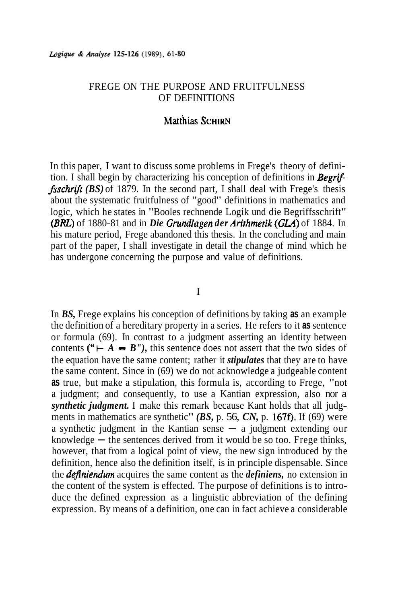# FREGE ON THE PURPOSE AND FRUITFULNESS OF DEFINITIONS

## Matthias SCHIRN

In this paper, I want to discuss some problems in Frege's theory of definition. I shall begin by characterizing his conception of definitions in *Begriffsschrifr (BS)* of 1879. In the second part, I shall deal with Frege's thesis about the systematic fruitfulness of "good" definitions in mathematics and logic, which he states in "Booles rechnende Logik und die Begriffsschrift" *(BRL)* of 1880-81 and in *Die Grundlagen der Arirhrnetik* **(GLA)** of 1884. In his mature period, Frege abandoned this thesis. In the concluding and main part of the paper, I shall investigate in detail the change of mind which he has undergone concerning the purpose and value of definitions.

## I

In *BS,* Frege explains his conception of definitions by taking **as** an example the definition of a hereditary property in a series. He refers to it **as** sentence or formula (69). In contrast to a judgment asserting an identity between contents (" $\vdash A \equiv B''$ ), this sentence does not assert that the two sides of the equation have the same content; rather it *stipulates* that they are to have the same content. Since in (69) we do not acknowledge a judgeable content **as** true, but make a stipulation, this formula is, according to Frege, "not a judgment; and consequently, to use a Kantian expression, also nor a *synthetic judgment.* I make this remark because Kant holds that all judgments in mathematics are synthetic" *(BS, p. 56, CN, p. 167f)*. If *(69)* were a synthetic judgment in the Kantian sense - a judgment extending our a synthetic judgment in the Kantian sense  $-$  a judgment extending our knowledge  $-$  the sentences derived from it would be so too. Frege thinks, however, that from a logical point of view, the new sign introduced by the definition, hence also the definition itself, is in principle dispensable. Since the *definiendum* acquires the same content as the *definiens,* no extension in the content of the system is effected. The purpose of definitions is to introduce the defined expression as a linguistic abbreviation of the defining expression. By means of a definition, one can in fact achieve a considerable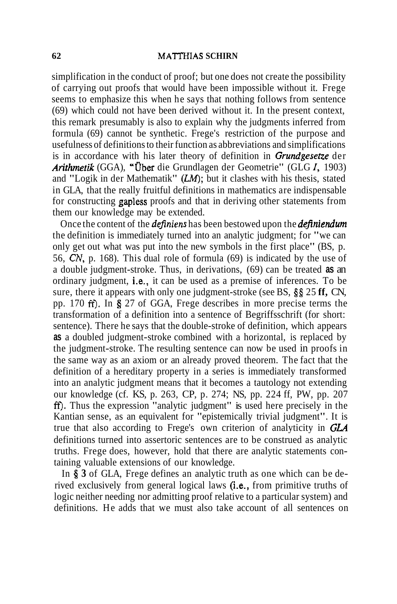simplification in the conduct of proof; but one does not create the possibility of carrying out proofs that would have been impossible without it. Frege seems to emphasize this when he says that nothing follows from sentence (69) which could not have been derived without it. In the present context, this remark presumably is also to explain why the judgments inferred from formula (69) cannot be synthetic. Frege's restriction of the purpose and usefulness of definitions to their function as abbreviations and simplifications is in accordance with his later theory of definition in **Grundgesetze** der Arithrnetik (GGA), "Uber die Grundlagen der Geometrie" (GLG *I,* 1903) and "Logik in der Mathematik"  $(LM)$ ; but it clashes with his thesis, stated in GLA, that the really fruitful definitions in mathematics are indispensable for constructing gapless proofs and that in deriving other statements from them our knowledge may be extended.

Once the content of the *definiens* has been bestowed upon the *definiendum* the definition is immediately turned into an analytic judgment; for "we can only get out what was put into the new symbols in the first place" (BS, p. 56, **CN,** p. 168). This dual role of formula (69) is indicated by the use of a double judgment-stroke. Thus, in derivations, (69) can be treated **as** an ordinary judgment, i.e., it can be used as a premise of inferences. To be sure, there it appears with only one judgment-stroke (see BS, *\$5* 25 **ff,** CN, pp. 170 **ff).** In *5* 27 of GGA, Frege describes in more precise terms the transformation of a definition into a sentence of Begriffsschrift (for short: sentence). There he says that the double-stroke of definition, which appears **as** a doubled judgment-stroke combined with a horizontal, is replaced by the judgment-stroke. The resulting sentence can now be used in proofs in the same way as an axiom or an already proved theorem. The fact that the definition of a hereditary property in a series is immediately transformed into an analytic judgment means that it becomes a tautology not extending our knowledge (cf. KS, p. 263, CP, p. 274; NS, pp. 224 ff, PW, pp. 207 **ff).** Thus the expression "analytic judgment" is used here precisely in the Kantian sense, as an equivalent for "epistemically trivial judgment". It is true that also according to Frege's own criterion of analyticity in GLA definitions turned into assertoric sentences are to be construed as analytic truths. Frege does, however, hold that there are analytic statements containing valuable extensions of our knowledge.

In \$ **3** of GLA, Frege defines an analytic truth as one which can be derived exclusively from general logical laws (i.e., from primitive truths of logic neither needing nor admitting proof relative to a particular system) and definitions. He adds that we must also take account of all sentences on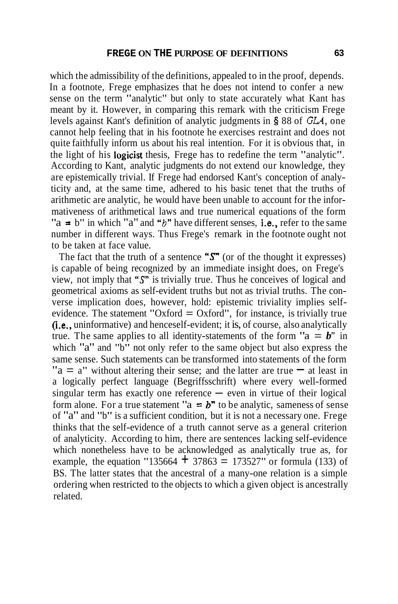which the admissibility of the definitions, appealed to in the proof, depends. In a footnote, Frege emphasizes that he does not intend to confer a new sense on the term "analytic" but only to state accurately what Kant has meant by it. However, in comparing this remark with the criticism Frege levels against Kant's definition of analytic judgments in **5** 88 of *GLA,* one cannot help feeling that in his footnote he exercises restraint and does not quite faithfully inform us about his real intention. For it is obvious that, in the light of his logicist thesis, Frege has to redefine the term "analytic". According to Kant, analytic judgments do not extend our knowledge, they are epistemically trivial. If Frege had endorsed Kant's conception of analyticity and, at the same time, adhered to his basic tenet that the truths of arithmetic are analytic, he would have been unable to account for the informativeness of arithmetical laws and true numerical equations of the form "a  $= b$ " in which "a" and "b" have different senses, i.e., refer to the same number in different ways. Thus Frege's remark in the footnote ought not to be taken at face value.

The fact that the truth of a sentence " $S$ " (or of the thought it expresses) is capable of being recognized by an immediate insight does, on Frege's view, not imply that **"S"** is trivially true. Thus he conceives of logical and geometrical axioms as self-evident truths but not as trivial truths. The converse implication does, however, hold: epistemic triviality implies selfevidence. The statement "Oxford  $=$  Oxford", for instance, is trivially true (i.e., uninformative) and henceself-evident; it is, of course, also analytically true. The same applies to all identity-statements of the form " $a = b$ " in which "a" and "b" not only refer to the same object but also express the same sense. Such statements can be transformed into statements of the form  $a = a''$  without altering their sense; and the latter are true  $\equiv$  at least in a logically perfect language (Begriffsschrift) where every well-formed singular term has exactly one reference  $-$  even in virtue of their logical form alone. For a true statement " $a = b$ " to be analytic, sameness of sense of "a" and "b" is a sufficient condition, but it is not a necessary one. Frege thinks that the self-evidence of a truth cannot serve as a general criterion of analyticity. According to him, there are sentences lacking self-evidence which nonetheless have to be acknowledged as analytically true as, for example, the equation "135664  $\pm$  37863 = 173527" or formula (133) of BS. The latter states that the ancestral of a many-one relation is a simple ordering when restricted to the objects to which a given object is ancestrally related.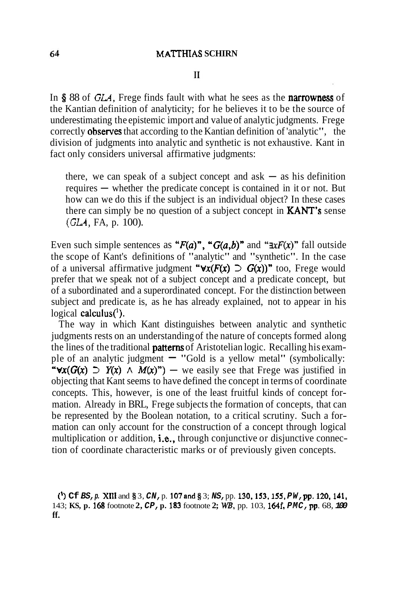## $\mathbf{I}$

In **5** 88 of **GLA,** Frege finds fault with what he sees as the narrowness of the Kantian definition of analyticity; for he believes it to be the source of underestimating the epistemic import and value of analytic judgments. Frege correctly observes that according to the Kantian definition of 'analytic", the division of judgments into analytic and synthetic is not exhaustive. Kant in fact only considers universal affirmative judgments:

there, we can speak of a subject concept and ask  $-$  as his definition there, we can speak of a subject concept and ask  $-$  as his definition requires  $-$  whether the predicate concept is contained in it or not. But how can we do this if the subject is an individual object? In these cases there can simply be no question of a subject concept in **KANT's** sense *(GLA,* FA, p. 100).

Even such simple sentences as " $F(a)$ ", " $G(a,b)$ " and " $\exists x F(x)$ " fall outside the scope of Kant's definitions of "analytic" and "synthetic". In the case of a universal affirmative judgment " $\forall x(F(x) \supset G(x))$ " too, Frege would prefer that we speak not of a subject concept and a predicate concept, but of a subordinated and a superordinated concept. For the distinction between subject and predicate is, as he has already explained, not to appear in his logical calculus $(1)$ .

The way in which Kant distinguishes between analytic and synthetic judgments rests on an understanding of the nature of concepts formed along the lines of the traditional **patterns** of Aristotelian logic. Recalling his example of an analytic judgment  $-$  "Gold is a yellow metal" (symbolically: " $\forall x(G(x) \supset Y(x) \land M(x)")$  - we easily see that Frege was justified in objecting that Kant seems to have defined the concept in terms of coordinate concepts. This, however, is one of the least fruitful kinds of concept formation. Already in BRL, Frege subjects the formation of concepts, that can be represented by the Boolean notation, to a critical scrutiny. Such a formation can only account for the construction of a concept through logical multiplication or addition, i.e., through conjunctive or disjunctive connection of coordinate characteristic marks or of previously given concepts.

(') **Cf. BS, p. Xlll** and **8** 3, **CN,** p. 107and *8* 3; **NS,** pp. 130,153.155, **PW, pp.** 120,141, 143; **KS, p. 168** footnote **2, CP, p.** 183 footnote **2; WE,** pp. 103, 164f. **PMC, pp.** 68, **100 ff.**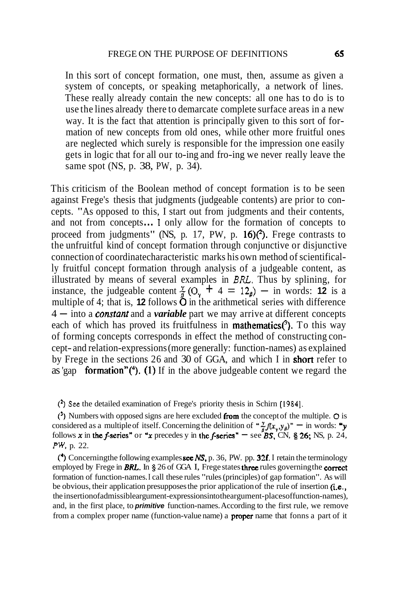In this sort of concept formation, one must, then, assume as given a system of concepts, or speaking metaphorically, a network of lines. These really already contain the new concepts: all one has to do is to use the lines already there to demarcate complete surface areas in a new way. It is the fact that attention is principally given to this sort of formation of new concepts from old ones, while other more fruitful ones are neglected which surely is responsible for the impression one easily gets in logic that for all our to-ing and fro-ing we never really leave the same spot (NS, p. 38, PW, p. 34).

This criticism of the Boolean method of concept formation is to be seen against Frege's thesis that judgments (judgeable contents) are prior to concepts. "As opposed to this, I start out from judgments and their contents, and not from concepts ... **1** only allow for the formation of concepts to proceed from judgments" (NS, p. 17, PW, p.  $16$ ) $(2)$ . Frege contrasts to the unfruitful kind of concept formation through conjunctive or disjunctive connection of coordinatecharacteristic marks his own method of scientifically fruitful concept formation through analysis of a judgeable content, as illustrated by means of several examples in *BRL.* Thus by splining, for instance, the judgeable content  $\frac{x}{8}(O_x + 4 = 12_0) -$  in words: **12** is a multiple of 4; that is, **12** follows  $\ddot{\textbf{O}}$  in the arithmetical series with difference  $4$  — into a *constant* and a *variable* part we may arrive at different concepts each of which has proved its fruitfulness in **mathematics** $(3)$ . To this way of forming concepts corresponds in effect the method of constructing concept- and relation-expressions (more generally: function-names) as explained by Frege in the sections 26 and 30 of GGA, and which I in short refer to as 'gap **formation"**( $\bullet$ ). (1) If in the above judgeable content we regard the

(') **See** the detailed examination of Frege's priority thesis in Schirn **[1984].** 

(') Numbers with opposed signs are here excluded from the concept of the multiple. **0** is considered as a multiple of itself. Concerning the delinition of " $\frac{y}{6}f(x_y,y_\beta)$ " - in words: "y follows  $x$  in the f-series" or "x precedes y in the f-series"  $=$  see BS, CN, § 26; NS, p. 24, **PW,** p. 22.

(\*) Concerningthe following examples see NS, p. 36, PW. pp. 32f. I retain the terminology employed by Frege in **BRL.** In  $\S$  26 of GGA I, Frege states three rules governing the correct formation of function-names. I call these rules "rules (principles) of gap formation". As will be obvious, their application presupposes the prior application of the rule of insertion  $(i.e.,)$ the insertionofadmissible argument-expressions into the argument-places of function-names), and, in the first place, to **primitive** function-names. According to the first rule, we remove from a complex proper name (function-value name) a proper name that fonns a part of it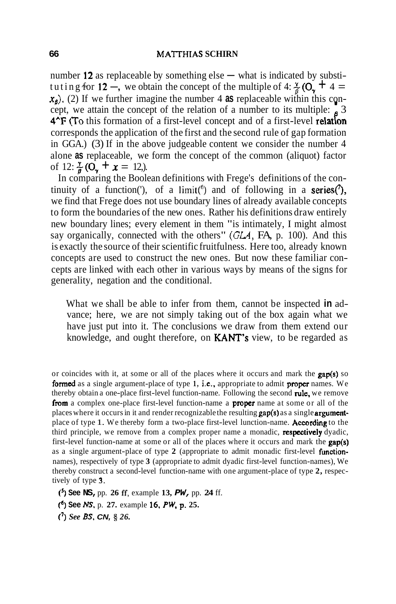number 12 as replaceable by something else  $-$  what is indicated by substituting for 12 –, we obtain the concept of the multiple of 4:  $\frac{7}{8}$  (O<sub>x</sub> + 4 =  $x_{\beta}$ ). (2) If we further imagine the number 4 as replaceable within this concept, we attain the concept of the relation of a number to its multiple:  $\beta$  3<br>4<sup> $\Upsilon$ </sup>F (To this formation of a first-level concept and of a corresponds the application of the first and the second rule of gap formation in GGA.) (3) If in the above judgeable content we consider the number 4 alone **as** replaceable, we form the concept of the common (aliquot) factor of 12:  $\frac{\gamma}{6}$  (O<sub>x</sub> + x = 12,).

In comparing the Boolean definitions with Frege's definitions of the continuity of a function('), of a limit( $\delta$ ) and of following in a series( $\delta$ ), we find that Frege does not use boundary lines of already available concepts to form the boundaries of the new ones. Rather his definitions draw entirely new boundary lines; every element in them "is intimately, I might almost say organically, connected with the others" **(GL4,** FA, p. 100). And this is exactly the source of their scientific fruitfulness. Here too, already known concepts are used to construct the new ones. But now these familiar concepts are linked with each other in various ways by means of the signs for generality, negation and the conditional.

What we shall be able to infer from them, cannot be inspected **in** advance; here, we are not simply taking out of the box again what we have just put into it. The conclusions we draw from them extend our knowledge, and ought therefore, on KANT's view, to be regarded as

(') **See NS,** pp. **26** if, example **13, PW,** pp. **24** ff.

(') **See NS.** p. **27.** example **16. PW, p. 25.** 

(3 *See BS,* **CN, g** *26.* 

or coincides with it, at some or all of the places where it occurs and mark the  $\text{gap}(s)$  so formed as a single argument-place of type **1,** i.e., appropriate to admit proper names. We thereby obtain a one-place first-level function-name. Following the second rule. we remove from a complex one-place first-level function-name a proper name at some or all of the places where it occurs in it and render recognizable the resulting  $\frac{gap(s)}{s}$  as a single argumentplace of type 1. We thereby form a two-place first-level lunction-name. According to the third principle, we remove from a complex proper name a monadic, **respectively** dyadic, first-level function-name at some or all of the places where it occurs and mark the **gap(s)** as a single argument-place of type **2** (appropriate to admit monadic first-level functionnames), respectively of type **3** (appropriate to admit dyadic first-level function-names), We thereby construct a second-level function-name with one argument-place of type **2,** respectively of type **3.**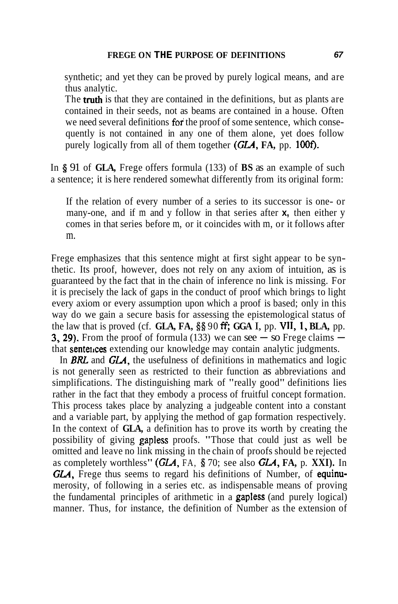synthetic; and yet they can be proved by purely logical means, and are thus analytic.

The **truth** is that they are contained in the definitions, but as plants are contained in their seeds, not as beams are contained in a house. Often we need several definitions for the proof of some sentence, which consequently is not contained in any one of them alone, yet does follow purely logically from all of them together **(GLA, FA,** pp. 100f).

In **5** 91 of **GLA,** Frege offers formula (133) of **BS** as an example of such a sentence; it is here rendered somewhat differently from its original form:

If the relation of every number of a series to its successor is one- or many-one, and if m and y follow in that series after **x,** then either y comes in that series before m, or it coincides with m, or it follows after m.

Frege emphasizes that this sentence might at first sight appear to be synthetic. Its proof, however, does not rely on any axiom of intuition, as is guaranteed by the fact that in the chain of inference no link is missing. For it is precisely the lack of gaps in the conduct of proof which brings to light every axiom or every assumption upon which a proof is based; only in this way do we gain a secure basis for assessing the epistemological status of the law that is proved (cf. **GLA, FA,**  $\frac{88}{90}$  **ff; GGA I,** pp. VII, 1, BLA, pp. **3, 29).** From the proof of formula (133) we can see  $\overline{\phantom{a}}$  so Frege claims  $\overline{\phantom{a}}$  that **sentences** extending our knowledge may contain analytic judgments.

In **BRL** and **GLA,** the usefulness of definitions in mathematics and logic is not generally seen as restricted to their function as abbreviations and simplifications. The distinguishing mark of "really good" definitions lies rather in the fact that they embody a process of fruitful concept formation. This process takes place by analyzing a judgeable content into a constant and a variable part, by applying the method of gap formation respectively. In the context of **GLA,** a definition has to prove its worth by creating the possibility of giving gapless proofs. "Those that could just as well be omitted and leave no link missing in the chain of proofs should be rejected as completely worthless" **(GLA,** FA, **5** 70; see also **GLA, FA,** p. **XXI).** In **GLA,** Frege thus seems to regard his definitions of Number, of equinumerosity, of following in a series etc. as indispensable means of proving the fundamental principles of arithmetic in a gapless (and purely logical) manner. Thus, for instance, the definition of Number as the extension of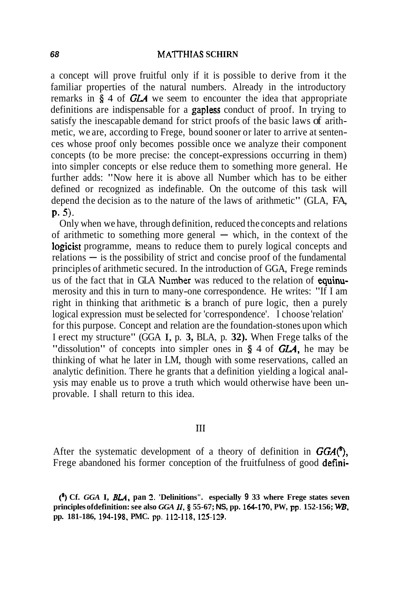a concept will prove fruitful only if it is possible to derive from it the familiar properties of the natural numbers. Already in the introductory remarks in **5** 4 of GLA we seem to encounter the idea that appropriate definitions are indispensable for a gapless conduct of proof. In trying to satisfy the inescapable demand for strict proofs of the basic laws of arithmetic, we are, according to Frege, bound sooner or later to arrive at sentences whose proof only becomes possible once we analyze their component concepts (to be more precise: the concept-expressions occurring in them) into simpler concepts or else reduce them to something more general. He further adds: "Now here it is above all Number which has to be either defined or recognized as indefinable. On the outcome of this task will depend the decision as to the nature of the laws of arithmetic" (GLA, FA,  $p. 5$ ).

Only when we have, through definition, reduced the concepts and relations of arithmetic to something more general  $-$  which, in the context of the logicist programme, means to reduce them to purely logical concepts and relations — is the possibility of strict and concise proof of the fundamental principles of arithmetic secured. In the introduction of GGA, Frege reminds us of the fact that in GLA Number was reduced to the relation of equinumerosity and this in turn to many-one correspondence. He writes: "If I am right in thinking that arithmetic is a branch of pure logic, then a purely logical expression must be selected for 'correspondence'. I choose 'relation' for this purpose. Concept and relation are the foundation-stones upon which I erect my structure" (GGA I, p. **3,** BLA, p. **32).** When Frege talks of the "dissolution" of concepts into simpler ones in § 4 of **GLA**, he may be thinking of what he later in LM, though with some reservations, called an analytic definition. There he grants that a definition yielding a logical analysis may enable us to prove a truth which would otherwise have been unprovable. I shall return to this idea.

## $III$

After the systematic development of a theory of definition in  $GGA(\hat{C})$ , Frege abandoned his former conception of the fruitfulness of good defini-

**(9 Cf.** *GGA* **I,** *BU,* **pan 2. 'Delinitions". especially 9 33 where Frege states seven principles ofdefinition: see also** *GGA* **11, 9 55-67; NS, pp. 164-170, PW, pp. 152-156; WB,**  pp. 181-186, 194-198, PMC. pp. 112-118, 125-129.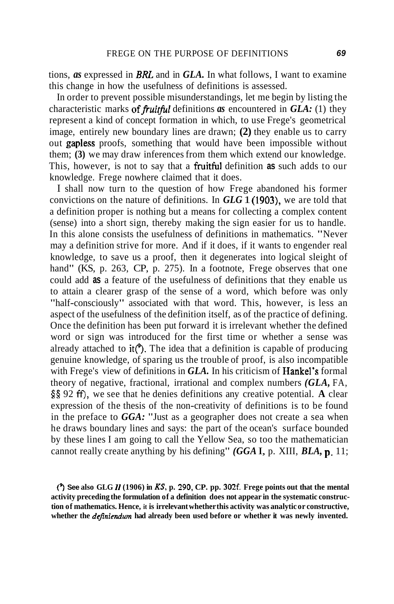tions, *as* expressed in *BRL* and in *GLA.* In what follows, I want to examine this change in how the usefulness of definitions is assessed.

In order to prevent possible misunderstandings, let me begin by listing the characteristic marks of *fruitful* definitions *as* encountered in *GLA*: (1) they represent a kind of concept formation in which, to use Frege's geometrical image, entirely new boundary lines are drawn; **(2)** they enable us to carry out gapless proofs, something that would have been impossible without them; **(3)** we may draw inferences from them which extend our knowledge. This, however, is not to say that a fruitful definition **as** such adds to our knowledge. Frege nowhere claimed that it does.

I shall now turn to the question of how Frege abandoned his former convictions on the nature of definitions. In *GLG* 1 (1903), we are told that a definition proper is nothing but a means for collecting a complex content (sense) into a short sign, thereby making the sign easier for us to handle. In this alone consists the usefulness of definitions in mathematics. "Never may a definition strive for more. And if it does, if it wants to engender real knowledge, to save us a proof, then it degenerates into logical sleight of hand" (KS, p. 263, CP, p. 275). In a footnote, Frege observes that one could add **as** a feature of the usefulness of definitions that they enable us to attain a clearer grasp of the sense of a word, which before was only "half-consciously" associated with that word. This, however, is less an aspect of the usefulness of the definition itself, as of the practice of defining. Once the definition has been put forward it is irrelevant whether the defined word or sign was introduced for the first time or whether a sense was already attached to it<sup>(2)</sup>. The idea that a definition is capable of producing genuine knowledge, of sparing us the trouble of proof, is also incompatible with Frege's view of definitions in *GLA*. In his criticism of **Hankel's** formal theory of negative, fractional, irrational and complex numbers *(GLA,* FA, **\$5** 92 **ff),** we see that he denies definitions any creative potential. **A** clear expression of the thesis of the non-creativity of definitions is to be found in the preface to *GGA:* "Just as a geographer does not create a sea when he draws boundary lines and says: the part of the ocean's surface bounded by these lines I am going to call the Yellow Sea, so too the mathematician cannot really create anything by his defining" *(GGA* I, p. XIII, *BLA,* p. 11;

<sup>(4</sup> **See also GLG 11 (1906) in KS. p. 290, CP. pp. 302f. Frege points out that the mental activity preceding the formulation of a definition does not appear in the systematic construction of mathematics. Hence, it is irrelevant whether this activity was analytic or constructive,**  whether the *definiendum* had already been used before or whether it was newly invented.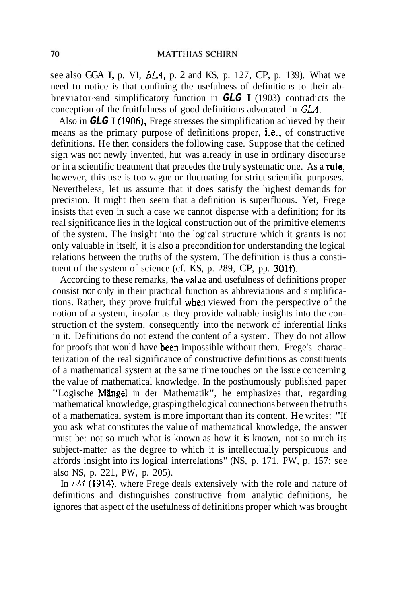see also GGA I, p. VI, *BLA,* p. 2 and KS, p. 127, CP, p. 139). What we need to notice is that confining the usefulness of definitions to their abbreviator~ and simplificatory function in **GLG** I (1903) contradicts the conception of the fruitfulness of good definitions advocated in  $GLA$ .

Also in **GLG** I (1906), Frege stresses the simplification achieved by their means as the primary purpose of definitions proper, i.e., of constructive definitions. He then considers the following case. Suppose that the defined sign was not newly invented, hut was already in use in ordinary discourse or in a scientific treatment that precedes the truly systematic one. As a **rule**, however, this use is too vague or tluctuating for strict scientific purposes. Nevertheless, let us assume that it does satisfy the highest demands for precision. It might then seem that a definition is superfluous. Yet, Frege insists that even in such a case we cannot dispense with a definition; for its real significance lies in the logical construction out of the primitive elements of the system. The insight into the logical structure which it grants is not only valuable in itself, it is also a precondition for understanding the logical relations between the truths of the system. The definition is thus a constituent of the system of science (cf. KS, p.  $289$ , CP, pp.  $301f$ ).

According to these remarks, thevalue and usefulness of definitions proper consist nor only in their practical function as abbreviations and simplifications. Rather, they prove fruitful when viewed from the perspective of the notion of a system, insofar as they provide valuable insights into the construction of the system, consequently into the network of inferential links in it. Definitions do not extend the content of a system. They do not allow for proofs that would have been impossible without them. Frege's characterization of the real significance of constructive definitions as constituents of a mathematical system at the same time touches on the issue concerning the value of mathematical knowledge. In the posthumously published paper "Logische Mängel in der Mathematik", he emphasizes that, regarding mathematical knowledge, graspingthelogical connections between thetruths of a mathematical system is more important than its content. He writes: "If you ask what constitutes the value of mathematical knowledge, the answer must be: not so much what is known as how it is known, not so much its subject-matter as the degree to which it is intellectually perspicuous and affords insight into its logical interrelations" (NS, p. 171, PW, p. 157; see also NS, p. 221, PW, p. 205).

In **LM** (1914), where Frege deals extensively with the role and nature of definitions and distinguishes constructive from analytic definitions, he ignores that aspect of the usefulness of definitions proper which was brought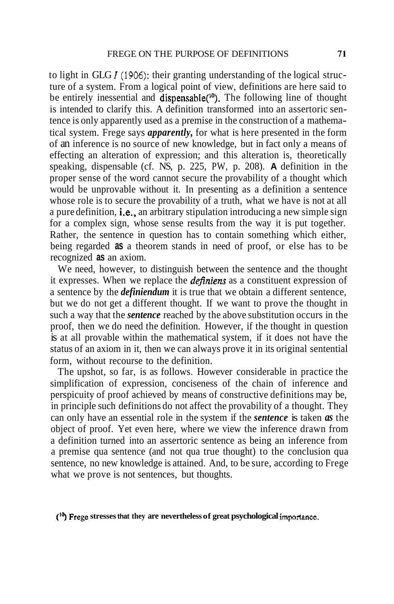to light in GLG **I(1906):** their granting understanding of the logical structure of a system. From a logical point of view, definitions are here said to be entirely inessential and dispensable<sup>(10</sup>). The following line of thought is intended to clarify this. A definition transformed into an assertoric sentence is only apparently used as a premise in the construction of a mathematical system. Frege says *apparently,* for what is here presented in the form of an inference is no source of new knowledge, but in fact only a means of effecting an alteration of expression; and this alteration is, theoretically speaking, dispensable (cf. NS, p. 225, PW, p. 208). **A** definition in the proper sense of the word cannot secure the provability of a thought which would be unprovable without it. In presenting as a definition a sentence whose role is to secure the provability of a truth, what we have is not at all a pure definition, **i.e.**, an arbitrary stipulation introducing a new simple sign for a complex sign, whose sense results from the way it is put together. Rather, the sentence in question has to contain something which either, being regarded **as** a theorem stands in need of proof, or else has to be recognized **as** an axiom.

We need, however, to distinguish between the sentence and the thought it expresses. When we replace the *definiens* as a constituent expression of a sentence by the *definiendum* it is true that we obtain a different sentence, but we do not get a different thought. If we want to prove the thought in such a way that the *sentence* reached by the above substitution occurs in the proof, then we do need the definition. However, if the thought in question is at all provable within the mathematical system, if it does not have the status of an axiom in it, then we can always prove it in its original sentential form, without recourse to the definition.

The upshot, so far, is as follows. However considerable in practice the simplification of expression, conciseness of the chain of inference and perspicuity of proof achieved by means of constructive definitions may be, in principle such definitions do not affect the provability of a thought. They can only have an essential role in the system if the *sentence* is taken *as* the object of proof. Yet even here, where we view the inference drawn from a definition turned into an assertoric sentence as being an inference from a premise qua sentence (and not qua true thought) to the conclusion qua sentence, no new knowledge is attained. And, to be sure, according to Frege what we prove is not sentences, but thoughts.

#### **('7 Frege stresses that they are nevertheless of great psychological importance.**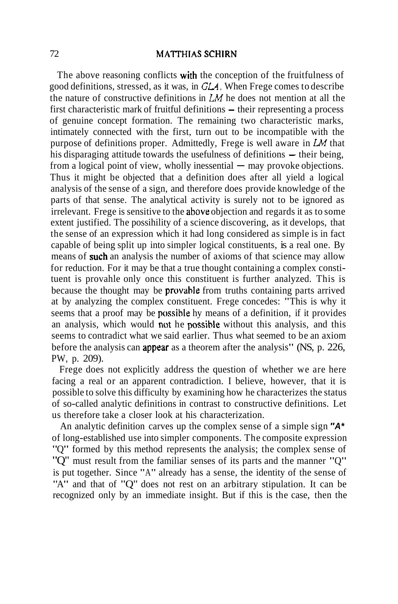The above reasoning conflicts with the conception of the fruitfulness of good definitions, stressed, as it was, in **GLA.** When Frege comes to describe the nature of constructive definitions in **LM** he does not mention at all the first characteristic mark of fruitful definitions - their representing a process of genuine concept formation. The remaining two characteristic marks, intimately connected with the first, turn out to be incompatible with the purpose of definitions proper. Admittedly, Frege is well aware in **LM** that himately coinceted with the first, tarn out to be incomparible with the<br>purpose of definitions proper. Admittedly, Frege is well aware in  $LM$  that<br>his disparaging attitude towards the usefulness of definitions  $-$  their b purpose of definitions proper. Admittedary, 1 rege is well aware in 2.4 that<br>his disparaging attitude towards the usefulness of definitions — their being,<br>from a logical point of view, wholly inessential — may provoke obje Thus it might be objected that a definition does after all yield a logical analysis of the sense of a sign, and therefore does provide knowledge of the parts of that sense. The analytical activity is surely not to be ignored as irrelevant. Frege is sensitive to the above objection and regards it as to some extent justified. The possihility of a science discovering, as it develops, that the sense of an expression which it had long considered as simple is in fact capable of being split up into simpler logical constituents, is a real one. By means of such an analysis the number of axioms of that science may allow for reduction. For it may be that a true thought containing a complex constituent is provahle only once this constituent is further analyzed. This is because the thought may be provahle from truths containing parts arrived at by analyzing the complex constituent. Frege concedes: "This is why it seems that a proof may be possihle hy means of a definition, if it provides an analysis, which would not he possihle without this analysis, and this seems to contradict what we said earlier. Thus what seemed to be an axiom before the analysis can appear as a theorem after the analysis" (NS, p. 226, PW, p. 209).

Frege does not explicitly address the question of whether we are here facing a real or an apparent contradiction. I believe, however, that it is possible to solve this difficulty by examining how he characterizes the status of so-called analytic definitions in contrast to constructive definitions. Let us therefore take a closer look at his characterization.

An analytic definition carves up the complex sense of a simple sign **"A\***  of long-established use into simpler components. The composite expression "Q" formed by this method represents the analysis; the complex sense of "Q" must result from the familiar senses of its parts and the manner "Q" is put together. Since "A" already has a sense, the identity of the sense of "A" and that of "Q" does not rest on an arbitrary stipulation. It can be recognized only by an immediate insight. But if this is the case, then the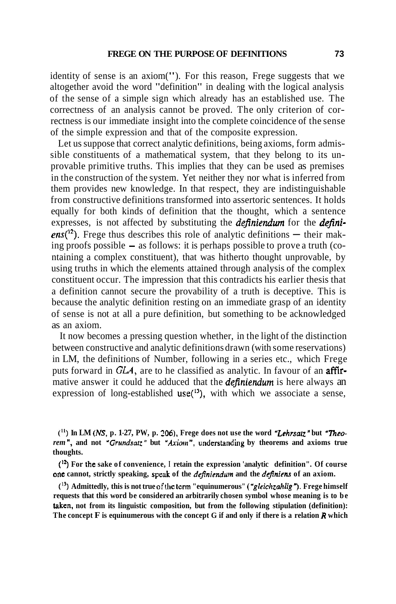identity of sense is an axiom("). For this reason, Frege suggests that we altogether avoid the word "definition" in dealing with the logical analysis of the sense of a simple sign which already has an established use. The correctness of an analysis cannot be proved. The only criterion of correctness is our immediate insight into the complete coincidence of the sense of the simple expression and that of the composite expression.

Let us suppose that correct analytic definitions, being axioms, form admissible constituents of a mathematical system, that they belong to its unprovable primitive truths. This implies that they can be used as premises in the construction of the system. Yet neither they nor what is inferred from them provides new knowledge. In that respect, they are indistinguishable from constructive definitions transformed into assertoric sentences. It holds equally for both kinds of definition that the thought, which a sentence expresses, is not affected by substituting the *definiendum* for the *defini*expresses, is not affected by substituting the *definiendum* for the *definitions*<sup>(12</sup>). Frege thus describes this role of analytic definitions — their mak $ens(^{12})$ . Frege thus describes this role of analytic definitions — their making proofs possible – as follows: it is perhaps possible to prove a truth (containing a complex constituent), that was hitherto thought unprovable, by using truths in which the elements attained through analysis of the complex constituent occur. The impression that this contradicts his earlier thesis that a definition cannot secure the provability of a truth is deceptive. This is because the analytic definition resting on an immediate grasp of an identity of sense is not at all a pure definition, but something to be acknowledged as an axiom.

It now becomes a pressing question whether, in the light of the distinction between constructive and analytic definitions drawn (with some reservations) in LM, the definitions of Number, following in a series etc., which Frege puts forward in **GLA,** are to he classified as analytic. In favour of an aftirmative answer it could he adduced that the **definiendum** is here always an expression of long-established  $use(^{13})$ , with which we associate a sense,

**<sup>(</sup>'I) In LM (NS, p. 1-27, PW, p.** *206).* **Frege does not use the word** *"Lehrsatz"* **but** *'lheorem*", and not "*Grundsatz*" but "*Axiom*", understanding by theorems and axioms true **thoughts.** 

*<sup>(&#</sup>x27;3* **For the sake of convenience, I retain the expression 'analytic definition". Of course one** cannot, strictly speaking, speak of the *definiendum* and the *definiens* of an axiom.

**<sup>(</sup>I3) Admittedly, this is not true ofthe term "equinumerous"** *("gleichzahlig* ") **Frege himself requests that this word be considered an arbitrarily chosen symbol whose meaning is to be taken, not from its linguistic composition, but from the following stipulation (definition): The concept F is equinumerous with the concept G if and only if there is a relation R which**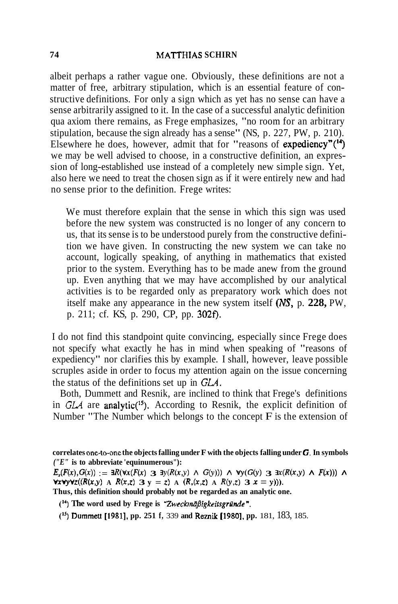albeit perhaps a rather vague one. Obviously, these definitions are not a matter of free, arbitrary stipulation, which is an essential feature of constructive definitions. For only a sign which as yet has no sense can have a sense arbitrarily assigned to it. In the case of a successful analytic definition qua axiom there remains, as Frege emphasizes, "no room for an arbitrary stipulation, because the sign already has a sense" (NS, p. 227, PW, p. 210). Elsewhere he does, however, admit that for "reasons of expediency" $(14)$ we may be well advised to choose, in a constructive definition, an expression of long-established use instead of a completely new simple sign. Yet, also here we need to treat the chosen sign as if it were entirely new and had no sense prior to the definition. Frege writes:

We must therefore explain that the sense in which this sign was used before the new system was constructed is no longer of any concern to us, that its sense is to be understood purely from the constructive definition we have given. In constructing the new system we can take no account, logically speaking, of anything in mathematics that existed prior to the system. Everything has to be made anew from the ground up. Even anything that we may have accomplished by our analytical activities is to be regarded only as preparatory work which does not itself make any appearance in the new system itself (NS, p. **228,** PW, p. 211; cf. KS, p. 290, CP, pp. 302f).

I do not find this standpoint quite convincing, especially since Frege does not specify what exactly he has in mind when speaking of "reasons of expediency" nor clarifies this by example. I shall, however, leave possible scruples aside in order to focus my attention again on the issue concerning the status of the definitions set up in **GLA.** 

Both, Dummett and Resnik, are inclined to think that Frege's definitions in GLA are analytic<sup>(15</sup>). According to Resnik, the explicit definition of Number "The Number which belongs to the concept  $\overline{F}$  is the extension of

**correlates on-to-one the objects falling under F with the objects falling under G. In symbols**  *("E"* **is to abbreviate 'equinumerous"):** 

 $E_r(F(x), G(x)) := \exists R(\forall x (F(x) \leq \exists y (R(x,y) \land G(y))) \land \forall y (G(y) \leq \exists x (R(x,y) \land F(x))) \land$ **VxvyVz**(( $R(x,y)$  **A**  $R(x,z)$  **3**  $y = z$ ) **A**  $(R,(x,z)$  **A**  $R(y,z)$  **3**  $x = y)$ )). **Thus, this definition should probably not be regarded as an analytic one.** 

<sup>(14</sup>) The word used by Frege is "Zweckmäßigkeitsgründe".

**(IJ) Dummett** [1981], **pp. 251 f,** 339 **and Reznik** [1980], **pp.** 181, 183, 185.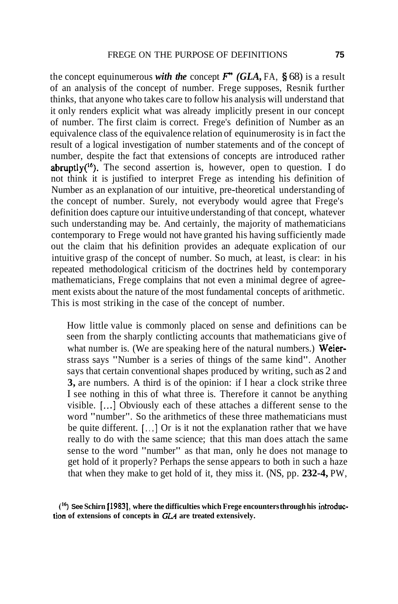the concept equinumerous *with the* concept  $\mathbf{F}^{\prime\prime}$  (GLA, FA, § 68) is a result of an analysis of the concept of number. Frege supposes, Resnik further thinks, that anyone who takes care to follow his analysis will understand that it only renders explicit what was already implicitly present in our concept of number. The first claim is correct. Frege's definition of Number as an equivalence class of the equivalence relation of equinumerosity is in fact the result of a logical investigation of number statements and of the concept of number, despite the fact that extensions of concepts are introduced rather abruptly( $^{16}$ ). The second assertion is, however, open to question. I do not think it is justified to interpret Frege as intending his definition of Number as an explanation of our intuitive, pre-theoretical understanding of the concept of number. Surely, not everybody would agree that Frege's definition does capture our intuitive understanding of that concept, whatever such understanding may be. And certainly, the majority of mathematicians contemporary to Frege would not have granted his having sufficiently made out the claim that his definition provides an adequate explication of our intuitive grasp of the concept of number. So much, at least, is clear: in his repeated methodological criticism of the doctrines held by contemporary mathematicians, Frege complains that not even a minimal degree of agreement exists about the nature of the most fundamental concepts of arithmetic. This is most striking in the case of the concept of number.

How little value is commonly placed on sense and definitions can be seen from the sharply contlicting accounts that mathematicians give of what number is. (We are speaking here of the natural numbers.) Weierstrass says "Number is a series of things of the same kind". Another says that certain conventional shapes produced by writing, such as 2 and **3,** are numbers. A third is of the opinion: if I hear a clock strike three I see nothing in this of what three is. Therefore it cannot be anything visible. [...I Obviously each of these attaches a different sense to the word "number". So the arithmetics of these three mathematicians must be quite different.  $[\cdot,\cdot]$  Or is it not the explanation rather that we have really to do with the same science; that this man does attach the same sense to the word "number" as that man, only he does not manage to get hold of it properly? Perhaps the sense appears to both in such a haze that when they make to get hold of it, they miss it. (NS, pp. **232-4,** PW,

**(I6) See Schirn** 119831, **where the difficulties which Frege encounters through his intmduction of extensions of concepts in** *GLA* **are treated extensively.**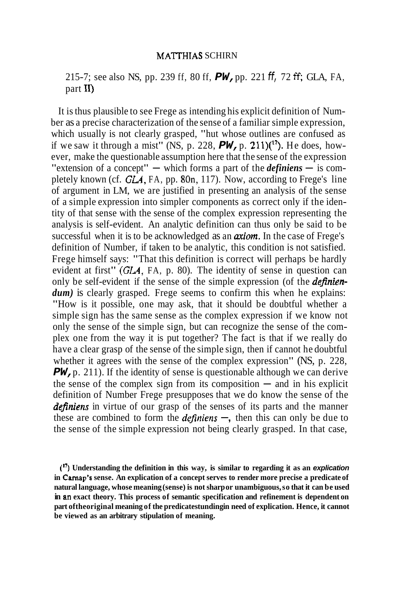215-7; see also NS, pp. 239 ff, 80 ff, **PW,** pp. 221 **ff,** 72 **W,** GLA, FA, part 11)

It is thus plausible to see Frege as intending his explicit definition of Number as a precise characterization of the sense of a familiar simple expression, which usually is not clearly grasped, "hut whose outlines are confused as if we saw it through a mist" (NS, p. 228,  $PW, p.$  211)( $^{17}$ ). He does, however, make the questionable assumption here that the sense of the expression "extension of a concept"  $-$  which forms a part of the *definiens*  $-$  is completely known (cf. GLA, FA, pp. 80n, 117). Now, according to Frege's line of argument in LM, we are justified in presenting an analysis of the sense of a simple expression into simpler components as correct only if the identity of that sense with the sense of the complex expression representing the analysis is self-evident. An analytic definition can thus only be said to be successful when it is to be acknowledged as an *axiom*. In the case of Frege's definition of Number, if taken to be analytic, this condition is not satisfied. Frege himself says: "That this definition is correct will perhaps be hardly evident at first" (GLA, FA, p. 80). The identity of sense in question can only be self-evident if the sense of the simple expression (of the *definien*dum) is clearly grasped. Frege seems to confirm this when he explains: "How is it possible, one may ask, that it should be doubtful whether a simple sign has the same sense as the complex expression if we know not only the sense of the simple sign, but can recognize the sense of the complex one from the way it is put together? The fact is that if we really do have a clear grasp of the sense of the simple sign, then if cannot he doubtful whether it agrees with the sense of the complex expression" (NS, p. 228, **PW,**  $\bf{p}$ . 211). If the identity of sense is questionable although we can derive the sense of the complex sign from its composition  $-$  and in his explicit definition of Number Frege presupposes that we do know the sense of the *definiens* in virtue of our grasp of the senses of its parts and the manner these are combined to form the *definiens*  $-$ , then this can only be due to the sense of the simple expression not being clearly grasped. In that case,

<sup>(&</sup>quot;) **Understanding the definition in this way, is similar to regarding it as an explication in Carnap's sense. An explication of a concept serves to render more precise a predicate of natural language, whose meaning (sense) is not sharp or unambiguous, so that it can be used in an exact theory. This process of semantic specification and refinement is dependent on**  part of theoriginal meaning of the predicatestunding in need of explication. Hence, it cannot **be viewed as an arbitrary stipulation of meaning.**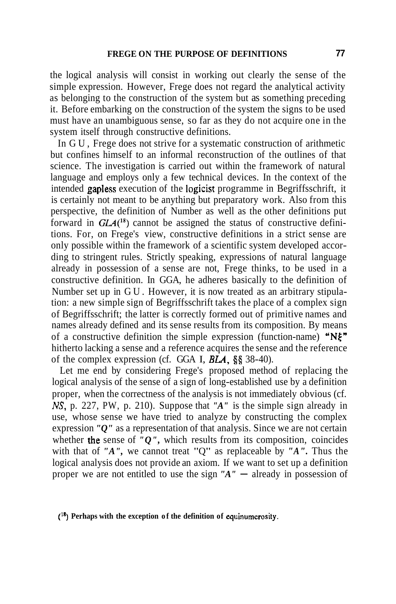the logical analysis will consist in working out clearly the sense of the simple expression. However, Frege does not regard the analytical activity as belonging to the construction of the system but as something preceding it. Before embarking on the construction of the system the signs to be used must have an unambiguous sense, so far as they do not acquire one in the system itself through constructive definitions.

In GU, Frege does not strive for a systematic construction of arithmetic but confines himself to an informal reconstruction of the outlines of that science. The investigation is carried out within the framework of natural language and employs only a few technical devices. In the context of the intended gapless execution of the logicist programme in Begriffsschrift, it is certainly not meant to be anything but preparatory work. Also from this perspective, the definition of Number as well as the other definitions put forward in  $GLA<sup>18</sup>$  cannot be assigned the status of constructive definitions. For, on Frege's view, constructive definitions in a strict sense are only possible within the framework of a scientific system developed according to stringent rules. Strictly speaking, expressions of natural language already in possession of a sense are not, Frege thinks, to be used in a constructive definition. In GGA, he adheres basically to the definition of Number set up in GU. However, it is now treated as an arbitrary stipulation: a new simple sign of Begriffsschrift takes the place of a complex sign of Begriffsschrift; the latter is correctly formed out of primitive names and names already defined and its sense results from its composition. By means of a constructive definition the simple expression (function-name) " $N\xi$ " hitherto lacking a sense and a reference acquires the sense and the reference of the complex expression (cf. GGA I, **BLA**, §§ 38-40).

Let me end by considering Frege's proposed method of replacing the logical analysis of the sense of a sign of long-established use by a definition proper, when the correctness of the analysis is not immediately obvious (cf. **NS,** p. 227, PW, p. 210). Suppose that *"A"* is the simple sign already in use, whose sense we have tried to analyze by constructing the complex expression *"O"* as a representation of that analysis. Since we are not certain whether the sense of  $"Q"$ , which results from its composition, coincides with that of *"A",* we cannot treat "Q" as replaceable by *"A".* Thus the logical analysis does not provide an axiom. If we want to set up a definition proper we are not entitled to use the sign *"A"* - already in possession of

(<sup>18</sup>) Perhaps with the exception of the definition of equinumerosity.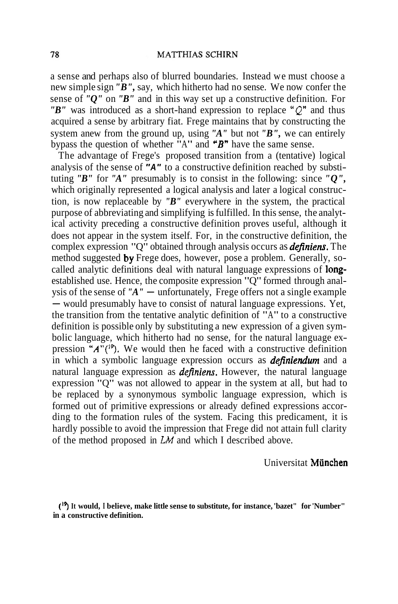a sense and perhaps also of blurred boundaries. Instead we must choose a new simple sign *"B",* say, which hitherto had no sense. We now confer the sense of *"Q"* on *"B"* and in this way set up a constructive definition. For *"B"* was introduced as a short-hand expression to replace **"Q"** and thus acquired a sense by arbitrary fiat. Frege maintains that by constructing the system anew from the ground up, using *"A"* but not *"B",* we can entirely bypass the question of whether "A" and *'B"* have the same sense.

The advantage of Frege's proposed transition from a (tentative) logical analysis of the sense of **"A"** to a constructive definition reached by substituting *"B"* for *"A"* presumably is to consist in the following: since *"Q",*  which originally represented a logical analysis and later a logical construction, is now replaceable by *"B"* everywhere in the system, the practical purpose of abbreviating and simplifying is fulfilled. In this sense, the analytical activity preceding a constructive definition proves useful, although it does not appear in the system itself. For, in the constructive definition, the complex expression "Q" obtained through analysis occurs as *defniens.* The method suggested by Frege does, however, pose a problem. Generally, socalled analytic definitions deal with natural language expressions of longestablished use. Hence, the composite expression "Q" formed through anal-<br>ysis of the sense of "A" — unfortunately, Frege offers not a single example ysis of the sense of " $A$ " — unfortunately, Frege offers not a single example — would presumably have to consist of natural language expressions. Yet, the transition from the tentative analytic definition of "A" to a constructive definition is possible only by substituting a new expression of a given symbolic language, which hitherto had no sense, for the natural language expression  $A''({}^{19})$ . We would then he faced with a constructive definition in which a symbolic language expression occurs as *definiendum* and a natural language expression as *definiens.* However, the natural language expression "Q" was not allowed to appear in the system at all, but had to be replaced by a synonymous symbolic language expression, which is formed out of primitive expressions or already defined expressions according to the formation rules of the system. Facing this predicament, it is hardly possible to avoid the impression that Frege did not attain full clarity of the method proposed in **LM** and which I described above.

Universitat Miinchen

('4 **It would, I believe, make little sense to substitute, for instance, 'bazet" for 'Number" in a constructive definition.**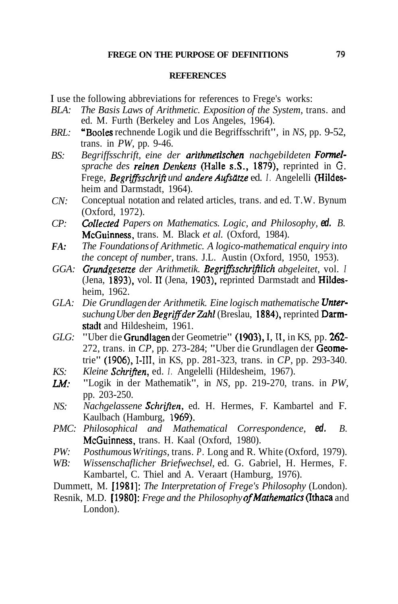### **REFERENCES**

I use the following abbreviations for references to Frege's works:

- *BLA: The Basis Laws of Arithmetic. Exposition of the System, trans. and* ed. M. Furth (Berkeley and Los Angeles, 1964).
- *BRL:* "Booles rechnende Logik und die Begriffsschrift", in *NS*, pp. 9-52, trans. in *PW,* pp. 9-46.
- *BS: Begriffsschrift, eine der arithmetischen nachgebildeten Formelsprache des reinen Denkens* (Halle s.S., 1879), reprinted in **G.**  Frege, Begriffsschrift und andere Aufsätze ed. *I. Angelelli* (Hildesheim and Darmstadt, 1964).
- *CN:* Conceptual notation and related articles, trans. and ed. T.W. Bynum (Oxford, 1972).
- *CP: Collected Papers on Mathematics. Logic, and Philosophy,* **ed.** *B.*  McGuinness, trans. M. Black *et al.* (Oxford, 1984).
- *FA: The Foundations of Arithmetic. A logico-mathematical enquiry into the concept of number,* trans. J.L. Austin (Oxford, 1950, 1953).
- *GGA: Grundgeserze der Arithmetik. Begriffsschrifllich abgeleitet,* vol. *<sup>I</sup>* (Jena, 1893), vol. **I1** (Jena, 1903), reprinted Darmstadt and Hildesheim, 1962.
- *GLA: Die Grundlagen der Arithmetik. Eine logisch mathematische Unter*suchung Uber den Begriff der Zahl (Breslau, 1884), reprinted Darmstadt and Hildesheim, 1961.
- *GLG:* "Uber die Grundlagen der Geometrie" (1903), I, II, in KS, pp. 262-272, trans. in *CP,* pp. 273-284; "Uber die Grundlagen der Geometrie" (1906), **1-111,** in KS, pp. 281-323, trans. in *CP,* pp. 293-340.
- *KS: Kleine Schriffen,* ed. *I.* Angelelli (Hildesheim, 1967).
- **LM:** "Logik in der Mathematik", in *NS,* pp. 219-270, trans. in *PW,*  pp. 203-250.
- *NS: Nachgelassene Schriften*, ed. H. Hermes, F. Kambartel and F. Kaulbach (Hamburg, 1969).
- *PMC: Philosophical and Mathematical Correspondence,* **ed.** *B.*  McGuinness, trans. H. Kaal (Oxford, 1980).
- *PW: Posthumous Writings,* trans. *P.* Long and R. White (Oxford, 1979).
- *WB: Wissenschaflicher Briefwechsel,* ed. G. Gabriel, H. Hermes, F. Kambartel, C. Thiel and A. Veraart (Hamburg, 1976).
- Dummett, M. [1981]: *The Interpretation of Frege's Philosophy* (London).
- Resnik, M.D. [1980]: *Frege and the Philosophy ofMathematics* (Ithaca and London).